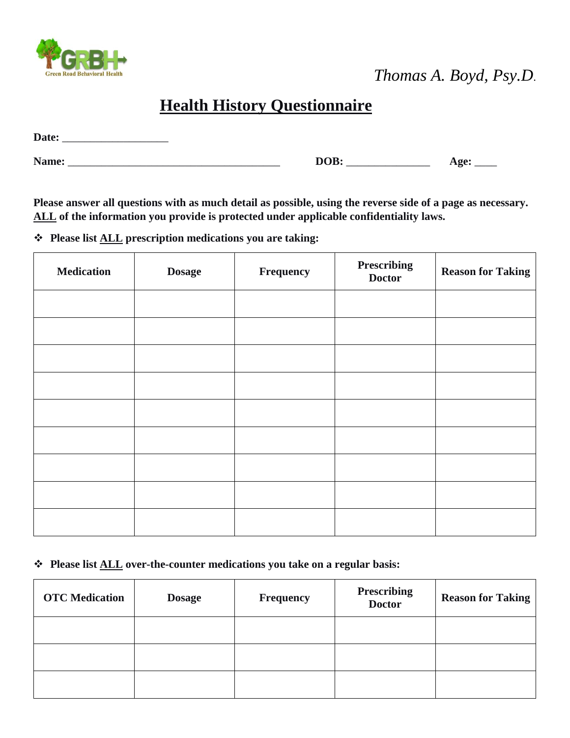

 *Thomas A. Boyd, Psy.D*.

# **Health History Questionnaire**

| Date: |  |
|-------|--|
|       |  |

| - - | ______ | $-1$<br>--<br>-<br>. . |
|-----|--------|------------------------|
|-----|--------|------------------------|

**Please answer all questions with as much detail as possible, using the reverse side of a page as necessary. ALL of the information you provide is protected under applicable confidentiality laws.** 

**Please list ALL prescription medications you are taking:**

| <b>Medication</b> | <b>Dosage</b> | Frequency | <b>Prescribing</b><br><b>Doctor</b> | <b>Reason for Taking</b> |
|-------------------|---------------|-----------|-------------------------------------|--------------------------|
|                   |               |           |                                     |                          |
|                   |               |           |                                     |                          |
|                   |               |           |                                     |                          |
|                   |               |           |                                     |                          |
|                   |               |           |                                     |                          |
|                   |               |           |                                     |                          |
|                   |               |           |                                     |                          |
|                   |               |           |                                     |                          |
|                   |               |           |                                     |                          |

### **Please list ALL over-the-counter medications you take on a regular basis:**

| <b>OTC</b> Medication | <b>Dosage</b> | <b>Frequency</b> | <b>Prescribing</b><br><b>Doctor</b> | <b>Reason for Taking</b> |
|-----------------------|---------------|------------------|-------------------------------------|--------------------------|
|                       |               |                  |                                     |                          |
|                       |               |                  |                                     |                          |
|                       |               |                  |                                     |                          |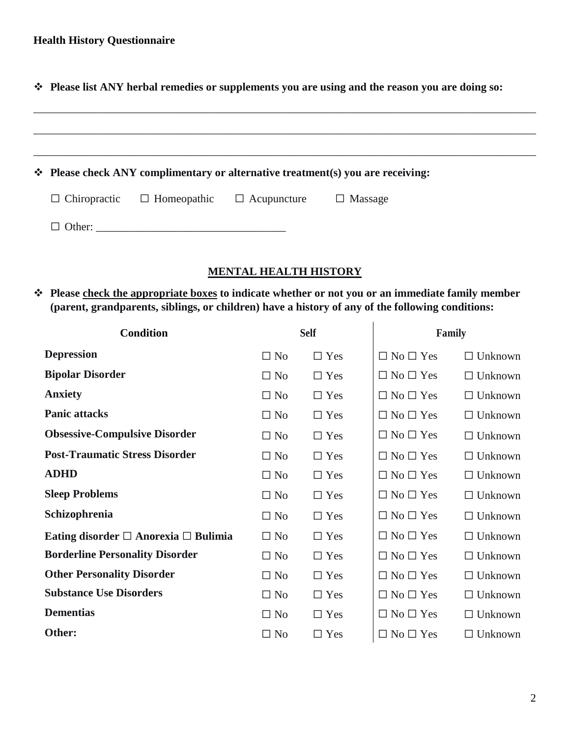**Please list ANY herbal remedies or supplements you are using and the reason you are doing so:** 

|  |                                        |                    | $\div$ Please check ANY complimentary or alternative treatment(s) you are receiving: |  |
|--|----------------------------------------|--------------------|--------------------------------------------------------------------------------------|--|
|  | $\Box$ Chiropractic $\Box$ Homeopathic | $\Box$ Acupuncture | $\Box$ Massage                                                                       |  |
|  | $\Box$ Other:                          |                    |                                                                                      |  |

#### **MENTAL HEALTH HISTORY**

 $\ddot{\phantom{a}}$ 

 **Please check the appropriate boxes to indicate whether or not you or an immediate family member (parent, grandparents, siblings, or children) have a history of any of the following conditions:**

| <b>Condition</b>                               |           | <b>Self</b> | Family               |                |  |
|------------------------------------------------|-----------|-------------|----------------------|----------------|--|
| <b>Depression</b>                              | $\Box$ No | $\Box$ Yes  | $\Box$ No $\Box$ Yes | $\Box$ Unknown |  |
| <b>Bipolar Disorder</b>                        | $\Box$ No | $\Box$ Yes  | $\Box$ No $\Box$ Yes | $\Box$ Unknown |  |
| <b>Anxiety</b>                                 | $\Box$ No | $\Box$ Yes  | $\Box$ No $\Box$ Yes | $\Box$ Unknown |  |
| <b>Panic attacks</b>                           | $\Box$ No | $\Box$ Yes  | $\Box$ No $\Box$ Yes | $\Box$ Unknown |  |
| <b>Obsessive-Compulsive Disorder</b>           | $\Box$ No | $\Box$ Yes  | $\Box$ No $\Box$ Yes | $\Box$ Unknown |  |
| <b>Post-Traumatic Stress Disorder</b>          | $\Box$ No | $\Box$ Yes  | $\Box$ No $\Box$ Yes | $\Box$ Unknown |  |
| <b>ADHD</b>                                    | $\Box$ No | $\Box$ Yes  | $\Box$ No $\Box$ Yes | $\Box$ Unknown |  |
| <b>Sleep Problems</b>                          | $\Box$ No | $\Box$ Yes  | $\Box$ No $\Box$ Yes | $\Box$ Unknown |  |
| Schizophrenia                                  | $\Box$ No | $\Box$ Yes  | $\Box$ No $\Box$ Yes | $\Box$ Unknown |  |
| Eating disorder $\Box$ Anorexia $\Box$ Bulimia | $\Box$ No | $\Box$ Yes  | $\Box$ No $\Box$ Yes | $\Box$ Unknown |  |
| <b>Borderline Personality Disorder</b>         | $\Box$ No | $\Box$ Yes  | $\Box$ No $\Box$ Yes | $\Box$ Unknown |  |
| <b>Other Personality Disorder</b>              | $\Box$ No | $\Box$ Yes  | $\Box$ No $\Box$ Yes | $\Box$ Unknown |  |
| <b>Substance Use Disorders</b>                 | $\Box$ No | $\Box$ Yes  | $\Box$ No $\Box$ Yes | $\Box$ Unknown |  |
| <b>Dementias</b>                               | $\Box$ No | $\Box$ Yes  | $\Box$ No $\Box$ Yes | $\Box$ Unknown |  |
| Other:                                         | $\Box$ No | $\Box$ Yes  | $\Box$ No $\Box$ Yes | $\Box$ Unknown |  |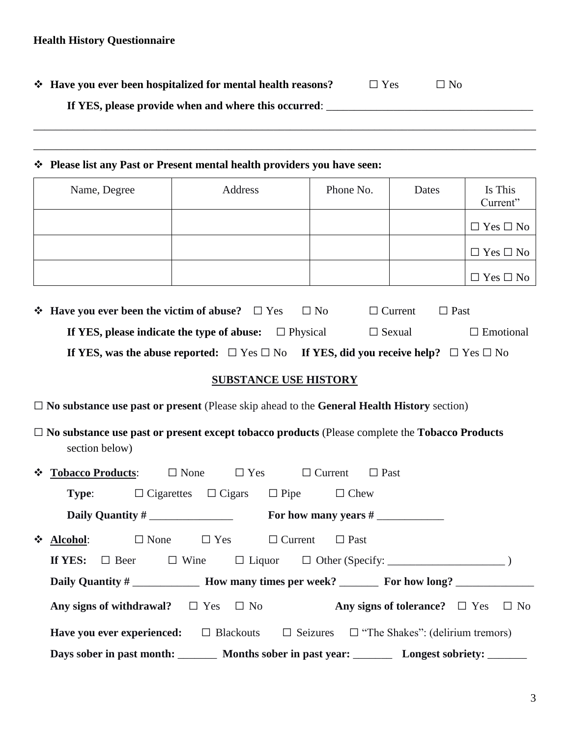$\div$  Have you ever been hospitalized for mental health reasons? □ Yes □ No

**If YES, please provide when and where this occurred**: \_\_\_\_\_\_\_\_\_\_\_\_\_\_\_\_\_\_\_\_\_\_\_\_\_\_\_\_\_\_\_\_\_\_\_\_\_

#### **Please list any Past or Present mental health providers you have seen:**

| Name, Degree | Address | Phone No. | Dates | Is This<br>Current"  |
|--------------|---------|-----------|-------|----------------------|
|              |         |           |       | $\Box$ Yes $\Box$ No |
|              |         |           |       | $\Box$ Yes $\Box$ No |
|              |         |           |       | $\Box$ Yes $\Box$ No |

\_\_\_\_\_\_\_\_\_\_\_\_\_\_\_\_\_\_\_\_\_\_\_\_\_\_\_\_\_\_\_\_\_\_\_\_\_\_\_\_\_\_\_\_\_\_\_\_\_\_\_\_\_\_\_\_\_\_\_\_\_\_\_\_\_\_\_\_\_\_\_\_\_\_\_\_\_\_\_\_\_\_\_\_\_\_\_\_\_\_

\_\_\_\_\_\_\_\_\_\_\_\_\_\_\_\_\_\_\_\_\_\_\_\_\_\_\_\_\_\_\_\_\_\_\_\_\_\_\_\_\_\_\_\_\_\_\_\_\_\_\_\_\_\_\_\_\_\_\_\_\_\_\_\_\_\_\_\_\_\_\_\_\_\_\_\_\_\_\_\_\_\_\_\_\_\_\_\_\_\_

| $\div$ Have you ever been the victim of abuse? $\Box$ Yes                                                           | $\Box$ No | $\Box$ Current | $\Box$ Past      |
|---------------------------------------------------------------------------------------------------------------------|-----------|----------------|------------------|
| If YES, please indicate the type of abuse: $\Box$ Physical                                                          |           | $\Box$ Sexual  | $\Box$ Emotional |
| If YES, was the abuse reported: $\square$ Yes $\square$ No If YES, did you receive help? $\square$ Yes $\square$ No |           |                |                  |

#### **SUBSTANCE USE HISTORY**

□ **No substance use past or present** (Please skip ahead to the **General Health History** section)

□ **No substance use past or present except tobacco products** (Please complete the **Tobacco Products** section below)

| <b><math>\div</math> Tobacco Products:</b> $\Box$ None $\Box$ Yes $\Box$ Current $\Box$ Past               |  |  |  |  |
|------------------------------------------------------------------------------------------------------------|--|--|--|--|
| <b>Type:</b> $\Box$ Cigarettes $\Box$ Cigars $\Box$ Pipe $\Box$ Chew                                       |  |  |  |  |
|                                                                                                            |  |  |  |  |
| ❖ Alcohol: $\square$ None $\square$ Yes $\square$ Current $\square$ Past                                   |  |  |  |  |
|                                                                                                            |  |  |  |  |
| Daily Quantity # ________________ How many times per week? __________ For how long? _______________        |  |  |  |  |
| Any signs of withdrawal? $\square$ Yes $\square$ No Any signs of tolerance? $\square$ Yes $\square$ No     |  |  |  |  |
| <b>Have you ever experienced:</b> $\Box$ Blackouts $\Box$ Seizures $\Box$ "The Shakes": (delirium tremors) |  |  |  |  |
| Days sober in past month: ________ Months sober in past year: _________ Longest sobriety: ________         |  |  |  |  |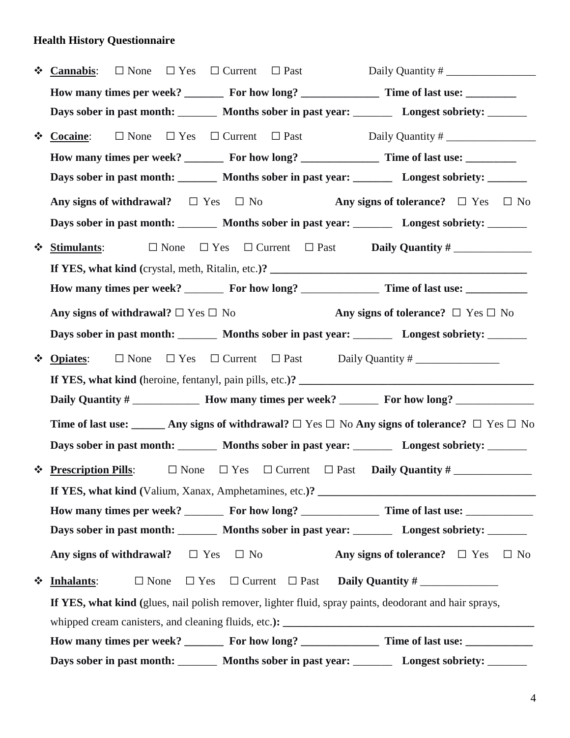| $\cdot$       | $\Box$ Current $\Box$ Past<br>$\Box$ None<br>$\Box$ Yes<br>Daily Quantity #<br><b>Cannabis:</b>                     |  |
|---------------|---------------------------------------------------------------------------------------------------------------------|--|
|               | How many times per week? __________ For how long? _____________________ Time of last use: __________                |  |
|               | Days sober in past month: _________ Months sober in past year: ________ Longest sobriety: _______                   |  |
| $\cdot$       | <b>Cocaine:</b><br>$\Box$ None $\Box$ Yes                                                                           |  |
|               |                                                                                                                     |  |
|               | Days sober in past month: ________ Months sober in past year: _______ Longest sobriety: ______                      |  |
|               | Any signs of withdrawal? $\square$ Yes $\square$ No<br>Any signs of tolerance? $\square$ Yes $\square$ No           |  |
|               | Days sober in past month: ________ Months sober in past year: _______ Longest sobriety: ______                      |  |
| ❖             | $\Box$ None $\Box$ Yes $\Box$ Current $\Box$ Past<br><b>Stimulants:</b>                                             |  |
|               |                                                                                                                     |  |
|               | How many times per week? __________ For how long? _____________________ Time of last use: ________________          |  |
|               | Any signs of withdrawal? $\Box$ Yes $\Box$ No<br>Any signs of tolerance? $\Box$ Yes $\Box$ No                       |  |
|               | Days sober in past month: ________ Months sober in past year: _______ Longest sobriety: ______                      |  |
| $\frac{1}{2}$ | $\Box$ None $\Box$ Yes $\Box$ Current $\Box$ Past Daily Quantity #<br><b>Opiates:</b>                               |  |
|               |                                                                                                                     |  |
|               | Daily Quantity # _________________ How many times per week? __________ For how long? ______________                 |  |
|               | Time of last use: ______ Any signs of withdrawal? $\Box$ Yes $\Box$ No Any signs of tolerance? $\Box$ Yes $\Box$ No |  |
|               | Days sober in past month: ________ Months sober in past year: _______ Longest sobriety: ______                      |  |
| ❖             | <b>Prescription Pills:</b><br>$\Box$ None $\Box$ Yes $\Box$ Current $\Box$ Past <b>Daily Quantity #</b>             |  |
|               |                                                                                                                     |  |
|               | How many times per week? _________ For how long? ___________________ Time of last use: _____________                |  |
|               | Days sober in past month: ________ Months sober in past year: _______ Longest sobriety: ______                      |  |
|               | Any signs of tolerance? $\square$ Yes $\square$ No<br>Any signs of withdrawal? $\Box$ Yes $\Box$ No                 |  |
| $\frac{1}{2}$ | Inhalants:<br>$\Box$ None                                                                                           |  |
|               | If YES, what kind (glues, nail polish remover, lighter fluid, spray paints, deodorant and hair sprays,              |  |
|               |                                                                                                                     |  |
|               |                                                                                                                     |  |
|               | Days sober in past month: ________ Months sober in past year: _______ Longest sobriety: ______                      |  |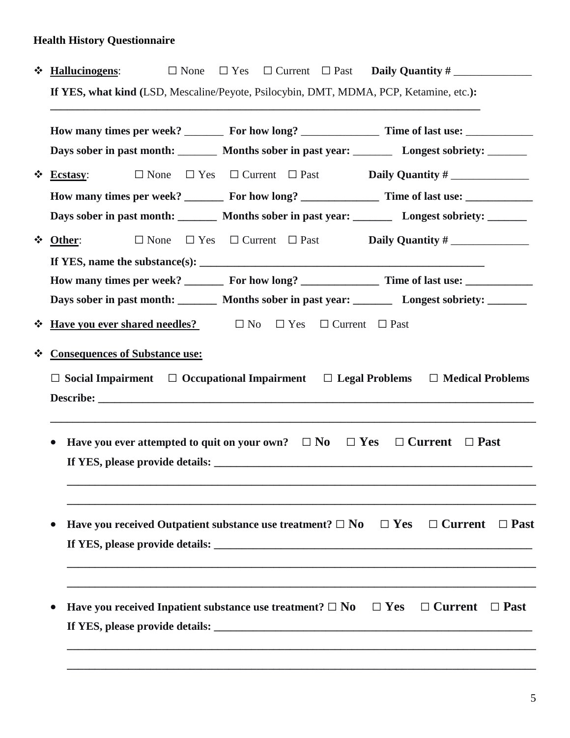| ❖       |                                                                                                                | <b>Hallucinogens:</b>                                                                                 |             | $\Box$ None |  |            |  | $\Box$ Yes $\Box$ Current $\Box$ Past <b>Daily Quantity</b> #             |             |
|---------|----------------------------------------------------------------------------------------------------------------|-------------------------------------------------------------------------------------------------------|-------------|-------------|--|------------|--|---------------------------------------------------------------------------|-------------|
|         | If YES, what kind (LSD, Mescaline/Peyote, Psilocybin, DMT, MDMA, PCP, Ketamine, etc.):                         |                                                                                                       |             |             |  |            |  |                                                                           |             |
|         |                                                                                                                |                                                                                                       |             |             |  |            |  |                                                                           |             |
|         | Days sober in past month: _________ Months sober in past year: _________ Longest sobriety: _______             |                                                                                                       |             |             |  |            |  |                                                                           |             |
| $\cdot$ |                                                                                                                | <b>Ecstasy:</b>                                                                                       | $\Box$ None |             |  |            |  | $\Box$ Yes $\Box$ Current $\Box$ Past <b>Daily Quantity</b> #             |             |
|         |                                                                                                                |                                                                                                       |             |             |  |            |  |                                                                           |             |
|         |                                                                                                                | Days sober in past month: _________ Months sober in past year: _________ Longest sobriety: _______    |             |             |  |            |  |                                                                           |             |
| ❖       |                                                                                                                | Other:                                                                                                |             |             |  |            |  | $\Box$ None $\Box$ Yes $\Box$ Current $\Box$ Past <b>Daily Quantity</b> # |             |
|         |                                                                                                                | If YES, name the substance(s): $\sqrt{\frac{1}{2} \sum_{i=1}^{n} (x_i - x_i)^2}$                      |             |             |  |            |  |                                                                           |             |
|         | How many times per week? __________ For how long? _____________________ Time of last use: ____________________ |                                                                                                       |             |             |  |            |  |                                                                           |             |
|         |                                                                                                                | Days sober in past month: Months sober in past year: Longest sobriety: _______                        |             |             |  |            |  |                                                                           |             |
| $\cdot$ |                                                                                                                | <b>Have you ever shared needles?</b> $\Box$ No $\Box$ Yes $\Box$ Current $\Box$ Past                  |             |             |  |            |  |                                                                           |             |
| $\cdot$ |                                                                                                                | <b>Consequences of Substance use:</b>                                                                 |             |             |  |            |  |                                                                           |             |
|         |                                                                                                                | $\Box$ Social Impairment $\Box$ Occupational Impairment $\Box$ Legal Problems $\Box$ Medical Problems |             |             |  |            |  |                                                                           |             |
|         |                                                                                                                |                                                                                                       |             |             |  |            |  |                                                                           |             |
|         |                                                                                                                |                                                                                                       |             |             |  |            |  |                                                                           |             |
|         | $\bullet$                                                                                                      | Have you ever attempted to quit on your own? $\Box$ No                                                |             |             |  | $\Box$ Yes |  | $\Box$ Current                                                            | $\Box$ Past |
|         |                                                                                                                |                                                                                                       |             |             |  |            |  |                                                                           |             |
|         |                                                                                                                |                                                                                                       |             |             |  |            |  |                                                                           |             |
|         |                                                                                                                |                                                                                                       |             |             |  |            |  |                                                                           |             |
|         | $\bullet$                                                                                                      | Have you received Outpatient substance use treatment? $\Box$ No $\Box$ Yes $\Box$ Current             |             |             |  |            |  |                                                                           | $\Box$ Past |
|         |                                                                                                                |                                                                                                       |             |             |  |            |  |                                                                           |             |
|         |                                                                                                                |                                                                                                       |             |             |  |            |  |                                                                           |             |
|         |                                                                                                                |                                                                                                       |             |             |  |            |  |                                                                           |             |
|         | $\bullet$                                                                                                      | Have you received Inpatient substance use treatment? $\Box$ No $\Box$ Yes $\Box$ Current              |             |             |  |            |  |                                                                           | $\Box$ Past |
|         |                                                                                                                |                                                                                                       |             |             |  |            |  |                                                                           |             |
|         |                                                                                                                |                                                                                                       |             |             |  |            |  |                                                                           |             |
|         |                                                                                                                |                                                                                                       |             |             |  |            |  |                                                                           |             |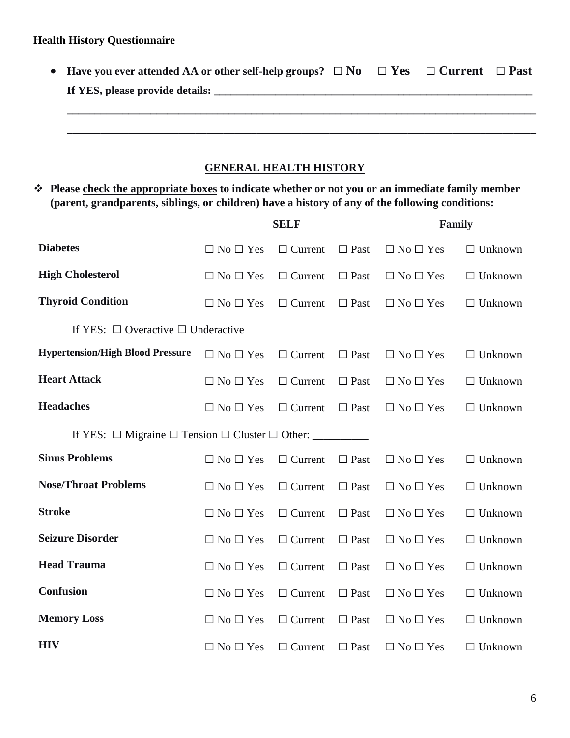| • Have you ever attended AA or other self-help groups? $\square$ No $\square$ Yes $\square$ Current $\square$ Past |  |  |
|--------------------------------------------------------------------------------------------------------------------|--|--|
| If YES, please provide details:                                                                                    |  |  |
|                                                                                                                    |  |  |
|                                                                                                                    |  |  |
|                                                                                                                    |  |  |
| <b>GENERAL HEALTH HISTORY</b>                                                                                      |  |  |

 **Please check the appropriate boxes to indicate whether or not you or an immediate family member (parent, grandparents, siblings, or children) have a history of any of the following conditions:**

|                                                                     | <b>SELF</b>          |                | Family         |                      |                |
|---------------------------------------------------------------------|----------------------|----------------|----------------|----------------------|----------------|
| <b>Diabetes</b>                                                     | $\Box$ No $\Box$ Yes | $\Box$ Current | $\Box$ Past    | $\Box$ No $\Box$ Yes | $\Box$ Unknown |
| <b>High Cholesterol</b>                                             | $\Box$ No $\Box$ Yes | $\Box$ Current | $\Box$ Past    | $\Box$ No $\Box$ Yes | $\Box$ Unknown |
| <b>Thyroid Condition</b>                                            | $\Box$ No $\Box$ Yes | $\Box$ Current | $\Box$ Past    | $\Box$ No $\Box$ Yes | $\Box$ Unknown |
| If YES: $\Box$ Overactive $\Box$ Underactive                        |                      |                |                |                      |                |
| <b>Hypertension/High Blood Pressure</b>                             | $\Box$ No $\Box$ Yes | $\Box$ Current | $\Box$ Past    | $\Box$ No $\Box$ Yes | $\Box$ Unknown |
| <b>Heart Attack</b>                                                 | $\Box$ No $\Box$ Yes | $\Box$ Current | $\Box$ Past    | $\Box$ No $\Box$ Yes | $\Box$ Unknown |
| <b>Headaches</b>                                                    | $\Box$ No $\Box$ Yes | $\Box$ Current | $\Box$ Past    | $\Box$ No $\Box$ Yes | $\Box$ Unknown |
| If YES: $\Box$ Migraine $\Box$ Tension $\Box$ Cluster $\Box$ Other: |                      |                |                |                      |                |
| <b>Sinus Problems</b>                                               | $\Box$ No $\Box$ Yes | $\Box$ Current | $\Box$<br>Past | $\Box$ No $\Box$ Yes | $\Box$ Unknown |
| <b>Nose/Throat Problems</b>                                         | $\Box$ No $\Box$ Yes | $\Box$ Current | $\Box$ Past    | $\Box$ No $\Box$ Yes | $\Box$ Unknown |
| <b>Stroke</b>                                                       | $\Box$ No $\Box$ Yes | $\Box$ Current | $\Box$ Past    | $\Box$ No $\Box$ Yes | $\Box$ Unknown |
| <b>Seizure Disorder</b>                                             | $\Box$ No $\Box$ Yes | $\Box$ Current | $\Box$ Past    | $\Box$ No $\Box$ Yes | $\Box$ Unknown |
| <b>Head Trauma</b>                                                  | $\Box$ No $\Box$ Yes | $\Box$ Current | $\Box$ Past    | $\Box$ No $\Box$ Yes | $\Box$ Unknown |
| Confusion                                                           | $\Box$ No $\Box$ Yes | $\Box$ Current | $\Box$ Past    | $\Box$ No $\Box$ Yes | $\Box$ Unknown |
| <b>Memory Loss</b>                                                  | $\Box$ No $\Box$ Yes | $\Box$ Current | $\Box$ Past    | $\Box$ No $\Box$ Yes | $\Box$ Unknown |
| <b>HIV</b>                                                          | $\Box$ No $\Box$ Yes | $\Box$ Current | $\Box$ Past    | $\Box$ No $\Box$ Yes | $\Box$ Unknown |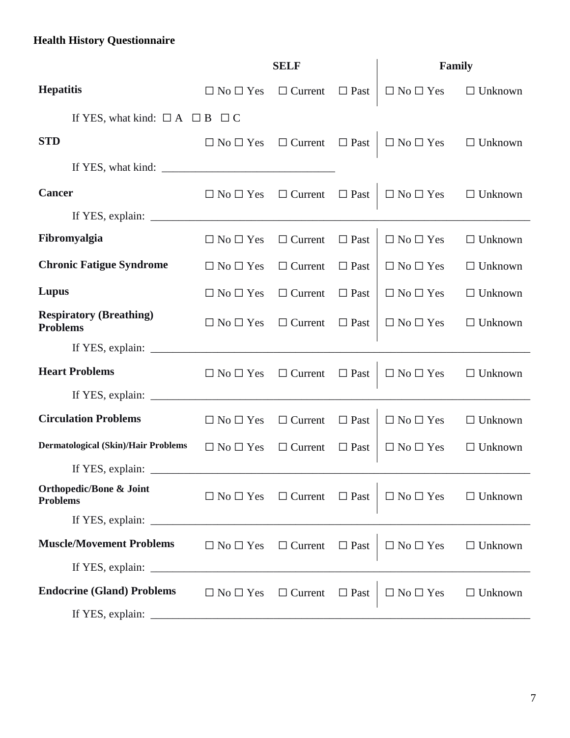|                                                                                                                                                                           | <b>SELF</b>                                     |                | Family         |                                     |                |
|---------------------------------------------------------------------------------------------------------------------------------------------------------------------------|-------------------------------------------------|----------------|----------------|-------------------------------------|----------------|
| <b>Hepatitis</b>                                                                                                                                                          | $\Box$ No $\Box$ Yes                            | $\Box$ Current | $\Box$ Past    | $\Box$ No $\Box$ Yes                | $\Box$ Unknown |
| If YES, what kind: $\Box A \Box B \Box C$                                                                                                                                 |                                                 |                |                |                                     |                |
| <b>STD</b>                                                                                                                                                                | $\Box$ No $\Box$ Yes $\Box$ Current $\Box$ Past |                |                | $\Box$ No $\Box$ Yes $\Box$ Unknown |                |
| If YES, what kind:                                                                                                                                                        |                                                 |                |                |                                     |                |
| <b>Cancer</b>                                                                                                                                                             | $\Box$ No $\Box$ Yes $\Box$ Current $\Box$ Past |                |                | $\Box$ No $\Box$ Yes                | $\Box$ Unknown |
| If YES, explain: $\sqrt{2}$                                                                                                                                               |                                                 |                |                |                                     |                |
| Fibromyalgia                                                                                                                                                              | $\Box$ No $\Box$ Yes                            | $\Box$ Current | $\Box$<br>Past | $\Box$ No $\Box$ Yes                | $\Box$ Unknown |
| <b>Chronic Fatigue Syndrome</b>                                                                                                                                           | $\Box$ No $\Box$ Yes                            | $\Box$ Current | $\Box$ Past    | $\Box$ No $\Box$ Yes                | $\Box$ Unknown |
| Lupus                                                                                                                                                                     | $\Box$ No $\Box$ Yes                            | $\Box$ Current | $\Box$ Past    | $\Box$ No $\Box$ Yes                | $\Box$ Unknown |
| <b>Respiratory (Breathing)</b><br><b>Problems</b>                                                                                                                         | $\Box$ No $\Box$ Yes                            | $\Box$ Current | $\Box$ Past    | $\Box$ No $\Box$ Yes                | $\Box$ Unknown |
|                                                                                                                                                                           |                                                 |                |                |                                     |                |
| <b>Heart Problems</b>                                                                                                                                                     | $\Box$ No $\Box$ Yes $\Box$ Current             |                | $\Box$ Past    | $\Box$ No $\Box$ Yes                | $\Box$ Unknown |
| If YES, explain: $\sqrt{\frac{2}{1-\frac{1}{2}} \cdot \frac{1}{2-\frac{1}{2}} \cdot \frac{1}{2-\frac{1}{2}} \cdot \frac{1}{2-\frac{1}{2}} \cdot \frac{1}{2-\frac{1}{2}}}$ |                                                 |                |                |                                     |                |
| <b>Circulation Problems</b>                                                                                                                                               | $\Box$ No $\Box$ Yes                            | $\Box$ Current | $\Box$ Past    | $\Box$ No $\Box$ Yes                | $\Box$ Unknown |
| <b>Dermatological (Skin)/Hair Problems</b>                                                                                                                                | $\Box$ No $\Box$ Yes                            | $\Box$ Current | $\Box$ Past    | $\Box$ No $\Box$ Yes                | $\Box$ Unknown |
|                                                                                                                                                                           |                                                 |                |                |                                     |                |
| <b>Orthopedic/Bone &amp; Joint</b><br><b>Problems</b>                                                                                                                     | $\Box$ No $\Box$ Yes $\Box$ Current             |                | $\Box$ Past    | $\Box$ No $\Box$ Yes $\Box$ Unknown |                |
|                                                                                                                                                                           |                                                 |                |                |                                     |                |
| <b>Muscle/Movement Problems</b>                                                                                                                                           | $\Box$ No $\Box$ Yes                            | $\Box$ Current | $\Box$ Past    | $\Box$ No $\Box$ Yes                | $\Box$ Unknown |
| If YES, explain: $\frac{1}{\sqrt{1-\frac{1}{2}} \cdot \frac{1}{2}}$                                                                                                       |                                                 |                |                |                                     |                |
| <b>Endocrine (Gland) Problems</b>                                                                                                                                         | $\Box$ No $\Box$ Yes                            | $\Box$ Current | $\Box$<br>Past | $\Box$ No $\Box$ Yes                | $\Box$ Unknown |
|                                                                                                                                                                           |                                                 |                |                |                                     |                |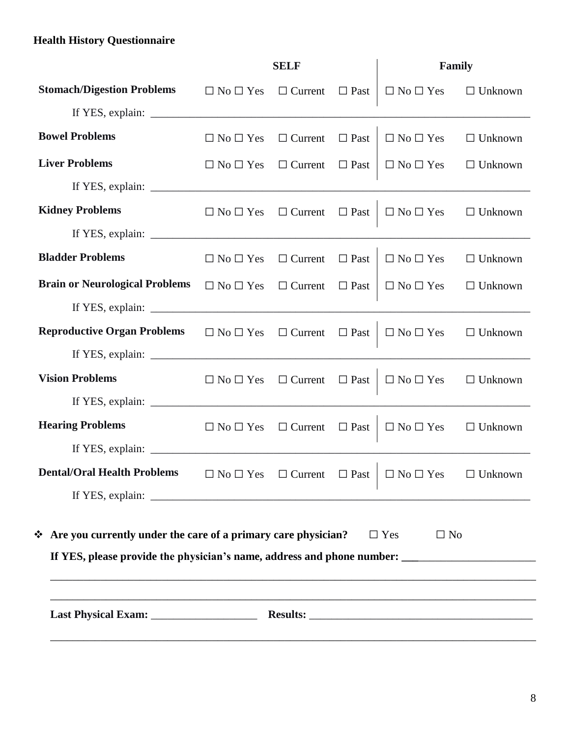|                                                                                                                                                                                                                                                                           | <b>SELF</b>                         |                            | Family      |                                                                                     |                |
|---------------------------------------------------------------------------------------------------------------------------------------------------------------------------------------------------------------------------------------------------------------------------|-------------------------------------|----------------------------|-------------|-------------------------------------------------------------------------------------|----------------|
| <b>Stomach/Digestion Problems</b>                                                                                                                                                                                                                                         | $\Box$ No $\Box$ Yes                | $\Box$ Current             | $\Box$ Past | $\Box$ No $\Box$ Yes                                                                | $\Box$ Unknown |
|                                                                                                                                                                                                                                                                           |                                     |                            |             |                                                                                     |                |
| <b>Bowel Problems</b>                                                                                                                                                                                                                                                     | $\Box$ No $\Box$ Yes                | $\Box$ Current $\Box$ Past |             | $\Box$ No $\Box$ Yes                                                                | $\Box$ Unknown |
| <b>Liver Problems</b>                                                                                                                                                                                                                                                     | $\Box$ No $\Box$ Yes                | $\Box$ Current $\Box$ Past |             | $\Box$ No $\Box$ Yes $\Box$ Unknown                                                 |                |
|                                                                                                                                                                                                                                                                           |                                     |                            |             |                                                                                     |                |
| <b>Kidney Problems</b>                                                                                                                                                                                                                                                    |                                     |                            |             | $\Box$ No $\Box$ Yes $\Box$ Current $\Box$ Past $\Box$ No $\Box$ Yes                | $\Box$ Unknown |
|                                                                                                                                                                                                                                                                           |                                     |                            |             |                                                                                     |                |
| <b>Bladder Problems</b>                                                                                                                                                                                                                                                   | $\Box$ No $\Box$ Yes                | $\Box$ Current             | $\Box$ Past | $\Box$ No $\Box$ Yes                                                                | $\Box$ Unknown |
| <b>Brain or Neurological Problems</b>                                                                                                                                                                                                                                     | $\Box$ No $\Box$ Yes $\Box$ Current |                            | $\Box$ Past | $\Box$ No $\Box$ Yes                                                                | $\Box$ Unknown |
| If YES, explain: $\sqrt{\frac{2}{1-\frac{1}{2}} \cdot \frac{1}{2-\frac{1}{2}} \cdot \frac{1}{2-\frac{1}{2}} \cdot \frac{1}{2-\frac{1}{2}} \cdot \frac{1}{2-\frac{1}{2}}}$                                                                                                 |                                     |                            |             |                                                                                     |                |
| <b>Reproductive Organ Problems</b> $\Box$ No $\Box$ Yes $\Box$ Current $\Box$ Past                                                                                                                                                                                        |                                     |                            |             | $\Box$ No $\Box$ Yes                                                                | $\Box$ Unknown |
| If YES, explain: $\sqrt{\frac{1}{2} \sum_{i=1}^{n} (x_i - x_i)^2}$                                                                                                                                                                                                        |                                     |                            |             |                                                                                     |                |
| <b>Vision Problems</b>                                                                                                                                                                                                                                                    |                                     |                            |             | $\Box$ No $\Box$ Yes $\Box$ Current $\Box$ Past $\Box$ No $\Box$ Yes                | $\Box$ Unknown |
|                                                                                                                                                                                                                                                                           |                                     |                            |             |                                                                                     |                |
| <b>Hearing Problems</b>                                                                                                                                                                                                                                                   |                                     |                            |             | $\Box$ No $\Box$ Yes $\Box$ Current $\Box$ Past $\Box$ No $\Box$ Yes $\Box$ Unknown |                |
| If YES, explain: $\frac{1}{2}$ explaint $\frac{1}{2}$ explaint $\frac{1}{2}$ explaint $\frac{1}{2}$ explaint $\frac{1}{2}$ explaint $\frac{1}{2}$ explaint $\frac{1}{2}$ explaint $\frac{1}{2}$ explaint $\frac{1}{2}$ explaint $\frac{1}{2}$ explaint $\frac{1}{2}$ expl |                                     |                            |             |                                                                                     |                |
| <b>Dental/Oral Health Problems</b> $\Box$ No $\Box$ Yes $\Box$ Current $\Box$ Past $\Box$ No $\Box$ Yes $\Box$ Unknown                                                                                                                                                    |                                     |                            |             |                                                                                     |                |
|                                                                                                                                                                                                                                                                           |                                     |                            |             |                                                                                     |                |
| ❖ Are you currently under the care of a primary care physician?<br>$\Box$ Yes<br>$\Box$ No<br>If YES, please provide the physician's name, address and phone number:                                                                                                      |                                     |                            |             |                                                                                     |                |
|                                                                                                                                                                                                                                                                           |                                     |                            |             |                                                                                     |                |
|                                                                                                                                                                                                                                                                           |                                     |                            |             |                                                                                     |                |